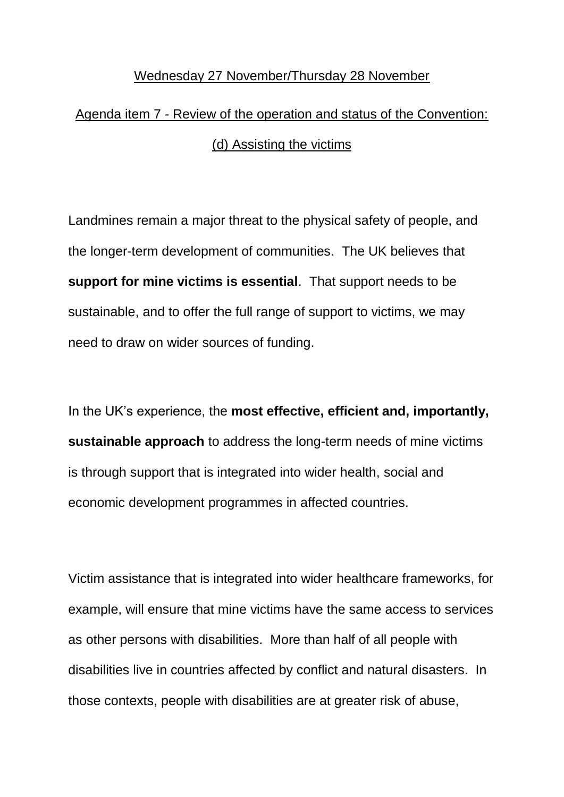## Wednesday 27 November/Thursday 28 November

## Agenda item 7 - Review of the operation and status of the Convention: (d) Assisting the victims

Landmines remain a major threat to the physical safety of people, and the longer-term development of communities. The UK believes that **support for mine victims is essential**. That support needs to be sustainable, and to offer the full range of support to victims, we may need to draw on wider sources of funding.

In the UK's experience, the **most effective, efficient and, importantly, sustainable approach** to address the long-term needs of mine victims is through support that is integrated into wider health, social and economic development programmes in affected countries.

Victim assistance that is integrated into wider healthcare frameworks, for example, will ensure that mine victims have the same access to services as other persons with disabilities. More than half of all people with disabilities live in countries affected by conflict and natural disasters. In those contexts, people with disabilities are at greater risk of abuse,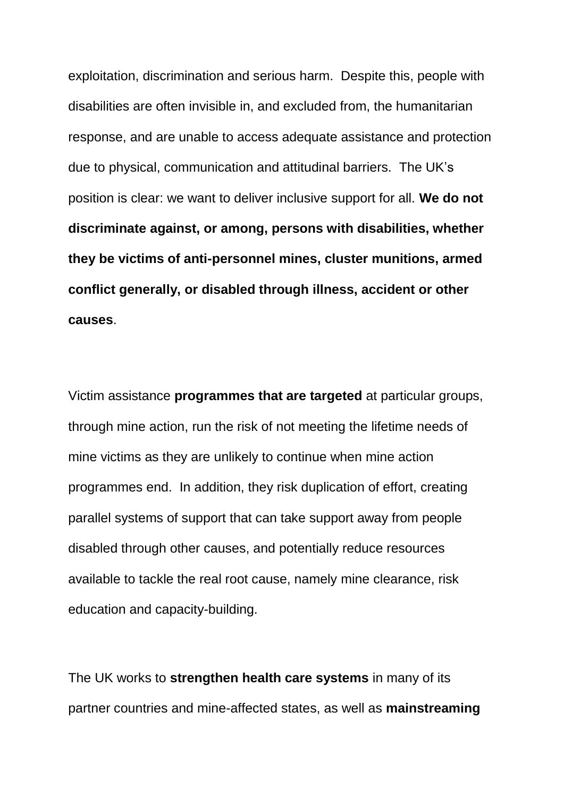exploitation, discrimination and serious harm. Despite this, people with disabilities are often invisible in, and excluded from, the humanitarian response, and are unable to access adequate assistance and protection due to physical, communication and attitudinal barriers. The UK's position is clear: we want to deliver inclusive support for all. **We do not discriminate against, or among, persons with disabilities, whether they be victims of anti-personnel mines, cluster munitions, armed conflict generally, or disabled through illness, accident or other causes**.

Victim assistance **programmes that are targeted** at particular groups, through mine action, run the risk of not meeting the lifetime needs of mine victims as they are unlikely to continue when mine action programmes end. In addition, they risk duplication of effort, creating parallel systems of support that can take support away from people disabled through other causes, and potentially reduce resources available to tackle the real root cause, namely mine clearance, risk education and capacity-building.

The UK works to **strengthen health care systems** in many of its partner countries and mine-affected states, as well as **mainstreaming**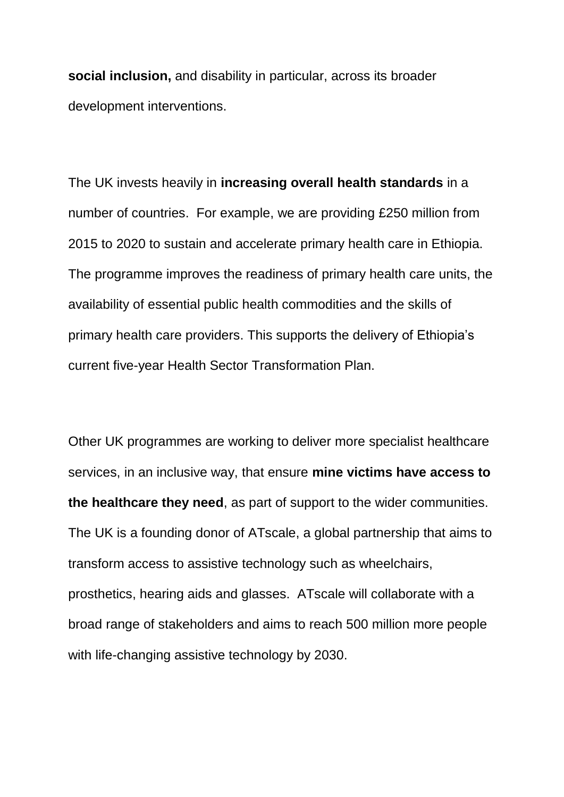**social inclusion,** and disability in particular, across its broader development interventions.

The UK invests heavily in **increasing overall health standards** in a number of countries. For example, we are providing £250 million from 2015 to 2020 to sustain and accelerate primary health care in Ethiopia. The programme improves the readiness of primary health care units, the availability of essential public health commodities and the skills of primary health care providers. This supports the delivery of Ethiopia's current five-year Health Sector Transformation Plan.

Other UK programmes are working to deliver more specialist healthcare services, in an inclusive way, that ensure **mine victims have access to the healthcare they need**, as part of support to the wider communities. The UK is a founding donor of ATscale, a global partnership that aims to transform access to assistive technology such as wheelchairs, prosthetics, hearing aids and glasses. ATscale will collaborate with a broad range of stakeholders and aims to reach 500 million more people with life-changing assistive technology by 2030.